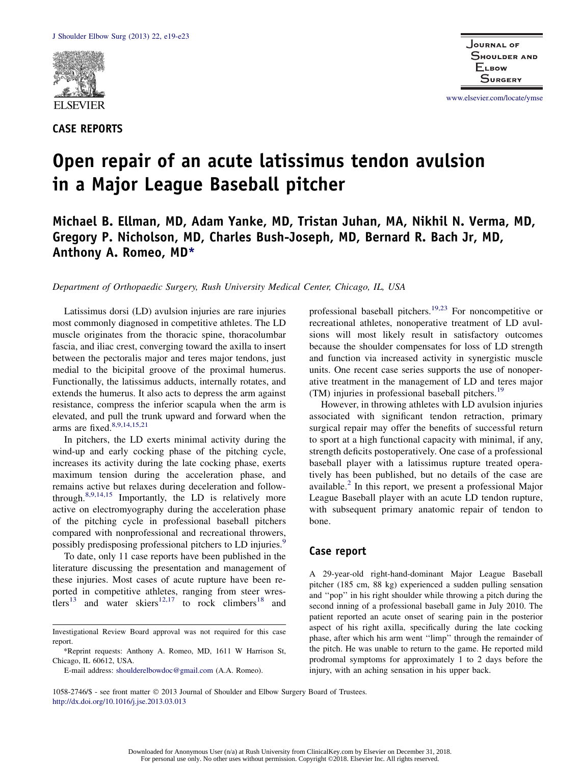

CASE REPORTS

www.elsevier.com/locate/ymse

# Open repair of an acute latissimus tendon avulsion in a Major League Baseball pitcher

# Michael B. Ellman, MD, Adam Yanke, MD, Tristan Juhan, MA, Nikhil N. Verma, MD, Gregory P. Nicholson, MD, Charles Bush-Joseph, MD, Bernard R. Bach Jr, MD, Anthony A. Romeo, MD\*

Department of Orthopaedic Surgery, Rush University Medical Center, Chicago, IL, USA

Latissimus dorsi (LD) avulsion injuries are rare injuries most commonly diagnosed in competitive athletes. The LD muscle originates from the thoracic spine, thoracolumbar fascia, and iliac crest, converging toward the axilla to insert between the pectoralis major and teres major tendons, just medial to the bicipital groove of the proximal humerus. Functionally, the latissimus adducts, internally rotates, and extends the humerus. It also acts to depress the arm against resistance, compress the inferior scapula when the arm is elevated, and pull the trunk upward and forward when the arms are fixed. $8,9,14,15,21$ 

In pitchers, the LD exerts minimal activity during the wind-up and early cocking phase of the pitching cycle, increases its activity during the late cocking phase, exerts maximum tension during the acceleration phase, and remains active but relaxes during deceleration and followthrough.8,9,14,15 Importantly, the LD is relatively more active on electromyography during the acceleration phase of the pitching cycle in professional baseball pitchers compared with nonprofessional and recreational throwers, possibly predisposing professional pitchers to LD injuries.<sup>9</sup>

To date, only 11 case reports have been published in the literature discussing the presentation and management of these injuries. Most cases of acute rupture have been reported in competitive athletes, ranging from steer wrestlers<sup>13</sup> and water skiers<sup>12,17</sup> to rock climbers<sup>18</sup> and

professional baseball pitchers.<sup>19,23</sup> For noncompetitive or recreational athletes, nonoperative treatment of LD avulsions will most likely result in satisfactory outcomes because the shoulder compensates for loss of LD strength and function via increased activity in synergistic muscle units. One recent case series supports the use of nonoperative treatment in the management of LD and teres major (TM) injuries in professional baseball pitchers.<sup>19</sup>

However, in throwing athletes with LD avulsion injuries associated with significant tendon retraction, primary surgical repair may offer the benefits of successful return to sport at a high functional capacity with minimal, if any, strength deficits postoperatively. One case of a professional baseball player with a latissimus rupture treated operatively has been published, but no details of the case are available.<sup>2</sup> In this report, we present a professional Major League Baseball player with an acute LD tendon rupture, with subsequent primary anatomic repair of tendon to bone.

#### Case report

A 29-year-old right-hand-dominant Major League Baseball pitcher (185 cm, 88 kg) experienced a sudden pulling sensation and ''pop'' in his right shoulder while throwing a pitch during the second inning of a professional baseball game in July 2010. The patient reported an acute onset of searing pain in the posterior aspect of his right axilla, specifically during the late cocking phase, after which his arm went ''limp'' through the remainder of the pitch. He was unable to return to the game. He reported mild prodromal symptoms for approximately 1 to 2 days before the injury, with an aching sensation in his upper back.

1058-2746/\$ - see front matter 2013 Journal of Shoulder and Elbow Surgery Board of Trustees. http://dx.doi.org/10.1016/j.jse.2013.03.013

Investigational Review Board approval was not required for this case report.

<sup>\*</sup>Reprint requests: Anthony A. Romeo, MD, 1611 W Harrison St, Chicago, IL 60612, USA.

E-mail address: shoulderelbowdoc@gmail.com (A.A. Romeo).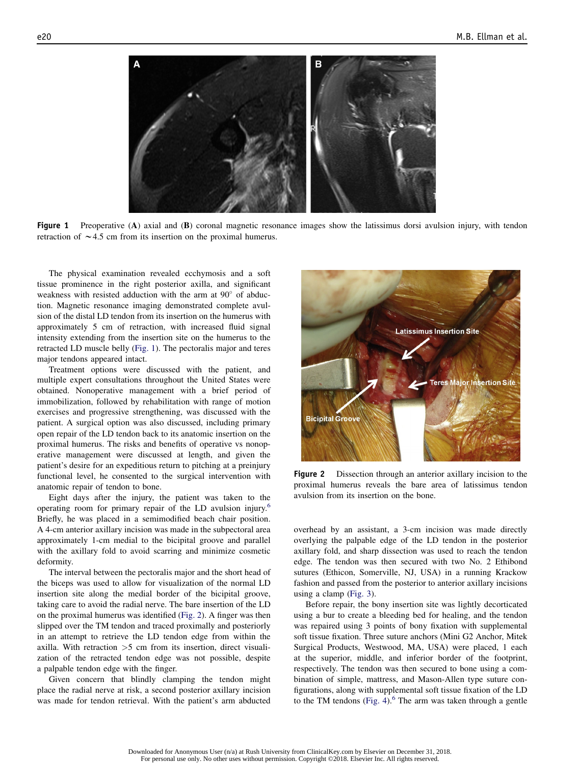

Figure 1 Preoperative (A) axial and (B) coronal magnetic resonance images show the latissimus dorsi avulsion injury, with tendon retraction of  $\sim$  4.5 cm from its insertion on the proximal humerus.

The physical examination revealed ecchymosis and a soft tissue prominence in the right posterior axilla, and significant weakness with resisted adduction with the arm at  $90^{\circ}$  of abduction. Magnetic resonance imaging demonstrated complete avulsion of the distal LD tendon from its insertion on the humerus with approximately 5 cm of retraction, with increased fluid signal intensity extending from the insertion site on the humerus to the retracted LD muscle belly (Fig. 1). The pectoralis major and teres major tendons appeared intact.

Treatment options were discussed with the patient, and multiple expert consultations throughout the United States were obtained. Nonoperative management with a brief period of immobilization, followed by rehabilitation with range of motion exercises and progressive strengthening, was discussed with the patient. A surgical option was also discussed, including primary open repair of the LD tendon back to its anatomic insertion on the proximal humerus. The risks and benefits of operative vs nonoperative management were discussed at length, and given the patient's desire for an expeditious return to pitching at a preinjury functional level, he consented to the surgical intervention with anatomic repair of tendon to bone.

Eight days after the injury, the patient was taken to the operating room for primary repair of the LD avulsion injury.<sup>6</sup> Briefly, he was placed in a semimodified beach chair position. A 4-cm anterior axillary incision was made in the subpectoral area approximately 1-cm medial to the bicipital groove and parallel with the axillary fold to avoid scarring and minimize cosmetic deformity.

The interval between the pectoralis major and the short head of the biceps was used to allow for visualization of the normal LD insertion site along the medial border of the bicipital groove, taking care to avoid the radial nerve. The bare insertion of the LD on the proximal humerus was identified (Fig. 2). A finger was then slipped over the TM tendon and traced proximally and posteriorly in an attempt to retrieve the LD tendon edge from within the axilla. With retraction >5 cm from its insertion, direct visualization of the retracted tendon edge was not possible, despite a palpable tendon edge with the finger.

Given concern that blindly clamping the tendon might place the radial nerve at risk, a second posterior axillary incision was made for tendon retrieval. With the patient's arm abducted



Figure 2 Dissection through an anterior axillary incision to the proximal humerus reveals the bare area of latissimus tendon avulsion from its insertion on the bone.

overhead by an assistant, a 3-cm incision was made directly overlying the palpable edge of the LD tendon in the posterior axillary fold, and sharp dissection was used to reach the tendon edge. The tendon was then secured with two No. 2 Ethibond sutures (Ethicon, Somerville, NJ, USA) in a running Krackow fashion and passed from the posterior to anterior axillary incisions using a clamp (Fig. 3).

Before repair, the bony insertion site was lightly decorticated using a bur to create a bleeding bed for healing, and the tendon was repaired using 3 points of bony fixation with supplemental soft tissue fixation. Three suture anchors (Mini G2 Anchor, Mitek Surgical Products, Westwood, MA, USA) were placed, 1 each at the superior, middle, and inferior border of the footprint, respectively. The tendon was then secured to bone using a combination of simple, mattress, and Mason-Allen type suture configurations, along with supplemental soft tissue fixation of the LD to the TM tendons (Fig. 4). $6$  The arm was taken through a gentle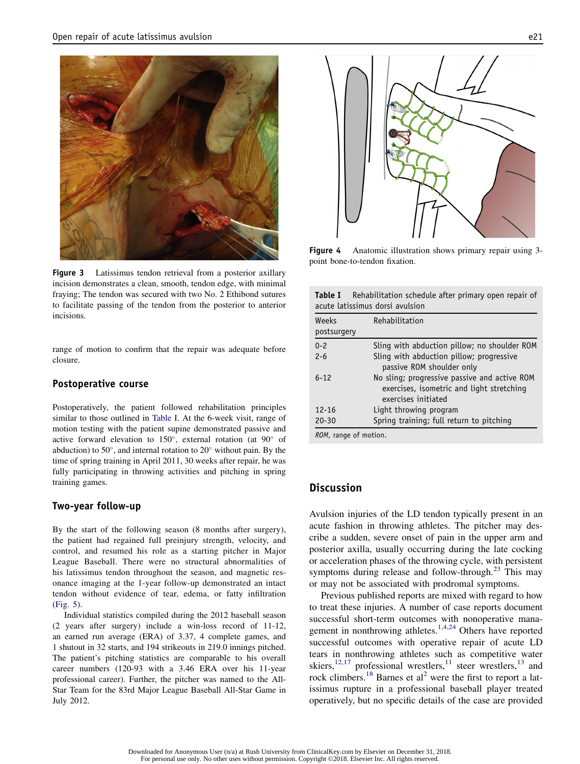

Figure 3 Latissimus tendon retrieval from a posterior axillary incision demonstrates a clean, smooth, tendon edge, with minimal fraying; The tendon was secured with two No. 2 Ethibond sutures to facilitate passing of the tendon from the posterior to anterior incisions.

range of motion to confirm that the repair was adequate before closure.

#### Postoperative course

Postoperatively, the patient followed rehabilitation principles similar to those outlined in Table I. At the 6-week visit, range of motion testing with the patient supine demonstrated passive and active forward elevation to  $150^\circ$ , external rotation (at  $90^\circ$  of abduction) to 50 $^{\circ}$ , and internal rotation to 20 $^{\circ}$  without pain. By the time of spring training in April 2011, 30 weeks after repair, he was fully participating in throwing activities and pitching in spring training games.

#### Two-year follow-up

By the start of the following season (8 months after surgery), the patient had regained full preinjury strength, velocity, and control, and resumed his role as a starting pitcher in Major League Baseball. There were no structural abnormalities of his latissimus tendon throughout the season, and magnetic resonance imaging at the 1-year follow-up demonstrated an intact tendon without evidence of tear, edema, or fatty infiltration (Fig. 5).

Individual statistics compiled during the 2012 baseball season (2 years after surgery) include a win-loss record of 11-12, an earned run average (ERA) of 3.37, 4 complete games, and 1 shutout in 32 starts, and 194 strikeouts in 219.0 innings pitched. The patient's pitching statistics are comparable to his overall career numbers (120-93 with a 3.46 ERA over his 11-year professional career). Further, the pitcher was named to the All-Star Team for the 83rd Major League Baseball All-Star Game in July 2012.



Figure 4 Anatomic illustration shows primary repair using 3point bone-to-tendon fixation.

|  |  | <b>Table I</b> Rehabilitation schedule after primary open repair of |  |  |  |
|--|--|---------------------------------------------------------------------|--|--|--|
|  |  | acute latissimus dorsi avulsion                                     |  |  |  |

| Weeks<br>postsurgery  | Rehabilitation                                                                                                   |
|-----------------------|------------------------------------------------------------------------------------------------------------------|
|                       |                                                                                                                  |
| $0 - 2$               | Sling with abduction pillow; no shoulder ROM                                                                     |
| $2 - 6$               | Sling with abduction pillow; progressive                                                                         |
|                       | passive ROM shoulder only                                                                                        |
| $6 - 12$              | No sling; progressive passive and active ROM<br>exercises, isometric and light stretching<br>exercises initiated |
| $12 - 16$             | Light throwing program                                                                                           |
| $20 - 30$             | Spring training; full return to pitching                                                                         |
| ROM, range of motion. |                                                                                                                  |

# **Discussion**

Avulsion injuries of the LD tendon typically present in an acute fashion in throwing athletes. The pitcher may describe a sudden, severe onset of pain in the upper arm and posterior axilla, usually occurring during the late cocking or acceleration phases of the throwing cycle, with persistent symptoms during release and follow-through. $^{23}$  This may or may not be associated with prodromal symptoms.

Previous published reports are mixed with regard to how to treat these injuries. A number of case reports document successful short-term outcomes with nonoperative management in nonthrowing athletes.<sup>1,4,24</sup> Others have reported successful outcomes with operative repair of acute LD tears in nonthrowing athletes such as competitive water skiers, $12,17$  professional wrestlers, $11$  steer wrestlers, $13$  and rock climbers.<sup>18</sup> Barnes et al<sup>2</sup> were the first to report a latissimus rupture in a professional baseball player treated operatively, but no specific details of the case are provided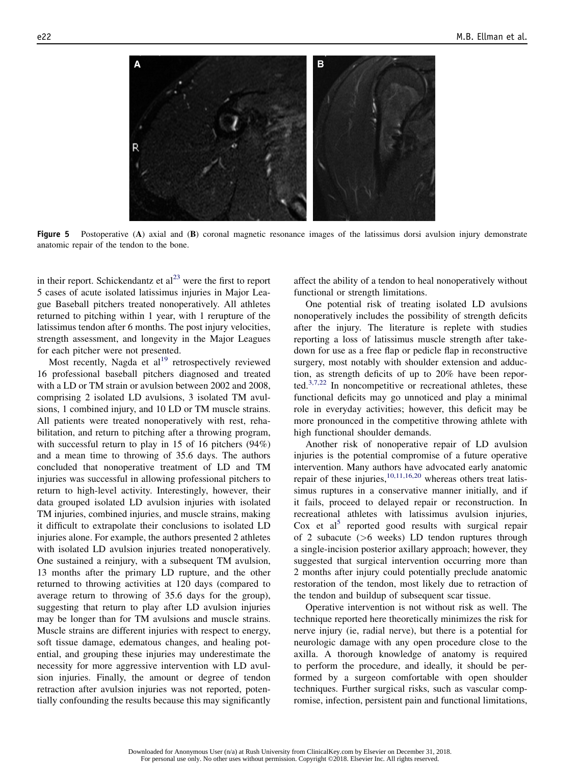

Figure 5 Postoperative (A) axial and (B) coronal magnetic resonance images of the latissimus dorsi avulsion injury demonstrate anatomic repair of the tendon to the bone.

in their report. Schickendantz et  $al^{23}$  were the first to report 5 cases of acute isolated latissimus injuries in Major League Baseball pitchers treated nonoperatively. All athletes returned to pitching within 1 year, with 1 rerupture of the latissimus tendon after 6 months. The post injury velocities, strength assessment, and longevity in the Major Leagues for each pitcher were not presented.

Most recently, Nagda et  $al<sup>19</sup>$  retrospectively reviewed 16 professional baseball pitchers diagnosed and treated with a LD or TM strain or avulsion between 2002 and 2008, comprising 2 isolated LD avulsions, 3 isolated TM avulsions, 1 combined injury, and 10 LD or TM muscle strains. All patients were treated nonoperatively with rest, rehabilitation, and return to pitching after a throwing program, with successful return to play in 15 of 16 pitchers (94%) and a mean time to throwing of 35.6 days. The authors concluded that nonoperative treatment of LD and TM injuries was successful in allowing professional pitchers to return to high-level activity. Interestingly, however, their data grouped isolated LD avulsion injuries with isolated TM injuries, combined injuries, and muscle strains, making it difficult to extrapolate their conclusions to isolated LD injuries alone. For example, the authors presented 2 athletes with isolated LD avulsion injuries treated nonoperatively. One sustained a reinjury, with a subsequent TM avulsion, 13 months after the primary LD rupture, and the other returned to throwing activities at 120 days (compared to average return to throwing of 35.6 days for the group), suggesting that return to play after LD avulsion injuries may be longer than for TM avulsions and muscle strains. Muscle strains are different injuries with respect to energy, soft tissue damage, edematous changes, and healing potential, and grouping these injuries may underestimate the necessity for more aggressive intervention with LD avulsion injuries. Finally, the amount or degree of tendon retraction after avulsion injuries was not reported, potentially confounding the results because this may significantly affect the ability of a tendon to heal nonoperatively without functional or strength limitations.

One potential risk of treating isolated LD avulsions nonoperatively includes the possibility of strength deficits after the injury. The literature is replete with studies reporting a loss of latissimus muscle strength after takedown for use as a free flap or pedicle flap in reconstructive surgery, most notably with shoulder extension and adduction, as strength deficits of up to 20% have been reported. $3,7,22$  In noncompetitive or recreational athletes, these functional deficits may go unnoticed and play a minimal role in everyday activities; however, this deficit may be more pronounced in the competitive throwing athlete with high functional shoulder demands.

Another risk of nonoperative repair of LD avulsion injuries is the potential compromise of a future operative intervention. Many authors have advocated early anatomic repair of these injuries, $10,11,16,20$  whereas others treat latissimus ruptures in a conservative manner initially, and if it fails, proceed to delayed repair or reconstruction. In recreational athletes with latissimus avulsion injuries,  $Cox$  et al<sup>5</sup> reported good results with surgical repair of 2 subacute (>6 weeks) LD tendon ruptures through a single-incision posterior axillary approach; however, they suggested that surgical intervention occurring more than 2 months after injury could potentially preclude anatomic restoration of the tendon, most likely due to retraction of the tendon and buildup of subsequent scar tissue.

Operative intervention is not without risk as well. The technique reported here theoretically minimizes the risk for nerve injury (ie, radial nerve), but there is a potential for neurologic damage with any open procedure close to the axilla. A thorough knowledge of anatomy is required to perform the procedure, and ideally, it should be performed by a surgeon comfortable with open shoulder techniques. Further surgical risks, such as vascular compromise, infection, persistent pain and functional limitations,

Downloaded for Anonymous User (n/a) at Rush University from ClinicalKey.com by Elsevier on December 31, 2018. For personal use only. No other uses without permission. Copyright ©2018. Elsevier Inc. All rights reserved.